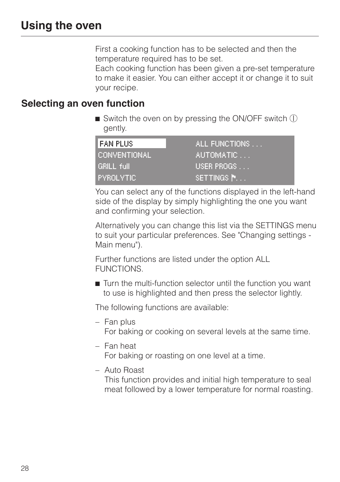First a cooking function has to be selected and then the temperature required has to be set.

Each cooking function has been given a pre-set temperature to make it easier. You can either accept it or change it to suit your recipe.

## **Selecting an oven function**

 $\blacksquare$  Switch the oven on by pressing the ON/OFF switch  $\mathbb O$ gently.

| I FAN PLUS.      | ALL FUNCTIONS |
|------------------|---------------|
| CONVENTIONAL     | 'AUTOMATIC    |
| GRILL full       | USER PROGS    |
| <b>PYROLYTIC</b> | ISETTINGS N.  |

You can select any of the functions displayed in the left-hand side of the display by simply highlighting the one you want and confirming your selection.

Alternatively you can change this list via the SETTINGS menu to suit your particular preferences. See "Changing settings - Main menu").

Further functions are listed under the option ALL FUNCTIONS.

 $\blacksquare$  Turn the multi-function selector until the function you want to use is highlighted and then press the selector lightly.

The following functions are available:

– Fan plus

For baking or cooking on several levels at the same time.

– Fan heat

For baking or roasting on one level at a time.

– Auto Roast

This function provides and initial high temperature to seal meat followed by a lower temperature for normal roasting.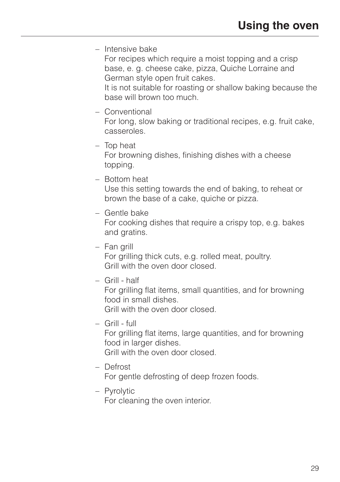– Intensive bake

For recipes which require a moist topping and a crisp base, e. g. cheese cake, pizza, Quiche Lorraine and German style open fruit cakes.

It is not suitable for roasting or shallow baking because the base will brown too much.

– Conventional

For long, slow baking or traditional recipes, e.g. fruit cake, casseroles.

- Top heat For browning dishes, finishing dishes with a cheese topping.
- Bottom heat

Use this setting towards the end of baking, to reheat or brown the base of a cake, quiche or pizza.

– Gentle bake

For cooking dishes that require a crispy top, e.g. bakes and gratins.

– Fan grill

For grilling thick cuts, e.g. rolled meat, poultry. Grill with the oven door closed.

– Grill - half

For grilling flat items, small quantities, and for browning food in small dishes.

Grill with the oven door closed.

– Grill - full

For grilling flat items, large quantities, and for browning food in larger dishes.

Grill with the oven door closed.

– Defrost

For gentle defrosting of deep frozen foods.

– Pyrolytic

For cleaning the oven interior.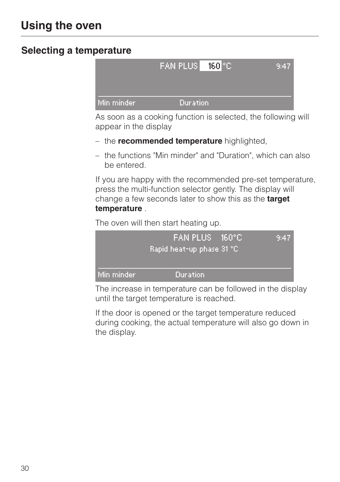# **Selecting a temperature**



As soon as a cooking function is selected, the following will appear in the display

- the **recommended temperature** highlighted,
- the functions "Min minder" and "Duration", which can also be entered.

If you are happy with the recommended pre-set temperature, press the multi-function selector gently. The display will change a few seconds later to show this as the **target temperature** .

The oven will then start heating up.

|            | FAN PLUS 160°C            | 9:47. |  |
|------------|---------------------------|-------|--|
|            | Rapid heat-up phase 31 °C |       |  |
| Min minder | Duration                  |       |  |

The increase in temperature can be followed in the display until the target temperature is reached.

If the door is opened or the target temperature reduced during cooking, the actual temperature will also go down in the display.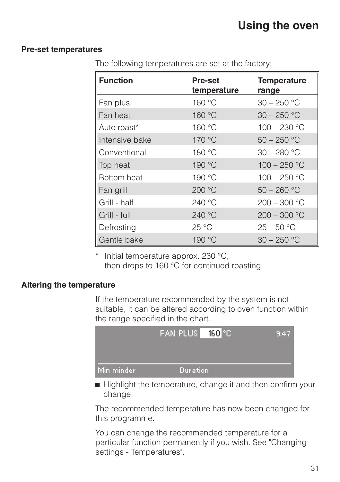#### **Pre-set temperatures**

| <b>Function</b> | <b>Pre-set</b><br>temperature | <b>Temperature</b><br>range |  |
|-----------------|-------------------------------|-----------------------------|--|
| Fan plus        | 160 °C                        | $30 - 250$ °C               |  |
| Fan heat        | 160 °C                        | $30 - 250$ °C               |  |
| Auto roast*     | 160 °C                        | $100 - 230$ °C              |  |
| Intensive bake  | 170 °C                        | $50 - 250$ °C               |  |
| Conventional    | 180 °C                        | $30 - 280$ °C               |  |
| Top heat        | 190 °C                        | $100 - 250$ °C              |  |
| Bottom heat     | 190 °C                        | $100 - 250$ °C              |  |
| Fan grill       | 200 °C                        | $50 - 260$ °C               |  |
| Grill - half    | 240 °C                        | $200 - 300 °C$              |  |
| Grill - full    | 240 °C                        | $200 - 300$ °C              |  |
| Defrosting      | 25 °C                         | $25 - 50 °C$                |  |
| Gentle bake     | 190 °C                        | $30 - 250$ °C               |  |

The following temperatures are set at the factory:

Initial temperature approx. 230  $^{\circ}$ C, then drops to 160 °C for continued roasting

#### **Altering the temperature**

If the temperature recommended by the system is not suitable, it can be altered according to oven function within the range specified in the chart.



 $\blacksquare$  Highlight the temperature, change it and then confirm your change.

The recommended temperature has now been changed for this programme.

You can change the recommended temperature for a particular function permanently if you wish. See "Changing settings - Temperatures".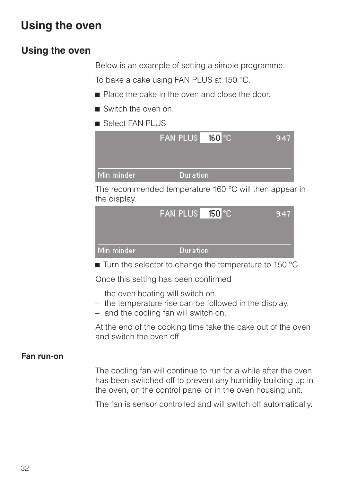# **Using the oven**

Below is an example of setting a simple programme. To bake a cake using FAN PLUS at 150 °C.

- **Place the cake in the oven and close the door.**
- Switch the oven on.
- Select FAN PLUS.



The recommended temperature 160 °C will then appear in the display.

|            | FAN PLUS   150 °C | /9:47 |
|------------|-------------------|-------|
| Min minder | Duration          |       |

 $\blacksquare$  Turn the selector to change the temperature to 150 °C.

Once this setting has been confirmed

- the oven heating will switch on,
- the temperature rise can be followed in the display,
- and the cooling fan will switch on.

At the end of the cooking time take the cake out of the oven and switch the oven off.

#### **Fan run-on**

The cooling fan will continue to run for a while after the oven has been switched off to prevent any humidity building up in the oven, on the control panel or in the oven housing unit.

The fan is sensor controlled and will switch off automatically.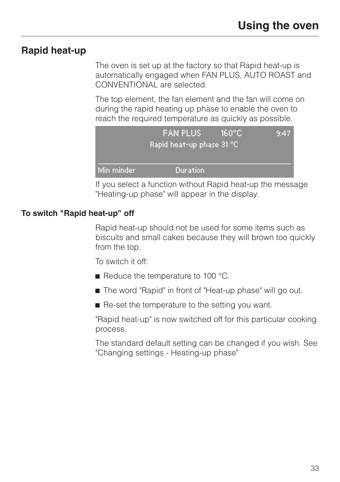# **Rapid heat-up**

The oven is set up at the factory so that Rapid heat-up is automatically engaged when FAN PLUS, AUTO ROAST and CONVENTIONAL are selected.

The top element, the fan element and the fan will come on during the rapid heating up phase to enable the oven to reach the required temperature as quickly as possible.



If you select a function without Rapid heat-up the message "Heating-up phase" will appear in the display.

### **To switch "Rapid heat-up" off**

Rapid heat-up should not be used for some items such as biscuits and small cakes because they will brown too quickly from the top.

To switch it off:

- $\blacksquare$  Reduce the temperature to 100 °C.
- The word "Rapid" in front of "Heat-up phase" will go out.
- $\blacksquare$  Re-set the temperature to the setting you want.

"Rapid heat-up" is now switched off for this particular cooking process.

The standard default setting can be changed if you wish. See "Changing settings - Heating-up phase"